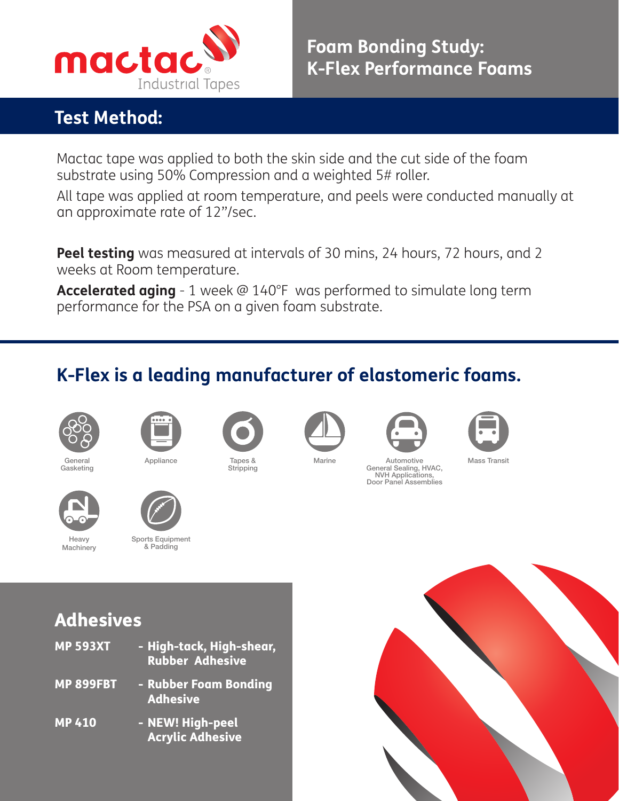

## **Test Method:**

Mactac tape was applied to both the skin side and the cut side of the foam substrate using 50% Compression and a weighted 5# roller.

All tape was applied at room temperature, and peels were conducted manually at an approximate rate of 12"/sec.

**Peel testing** was measured at intervals of 30 mins, 24 hours, 72 hours, and 2 weeks at Room temperature.

**Accelerated aging** - 1 week @ 140°F was performed to simulate long term performance for the PSA on a given foam substrate.

## **K-Flex is a leading manufacturer of elastomeric foams.**



Heavy **Machinery** 





Appliance Tapes &





Stripping



General Sealing, HVAC, NVH Applications, Door Panel Assemblies

Mass Transit



Sports Equipment & Padding





## Adhesives

| <b>MP 593XT</b>  | - High-tack, High-shear,<br><b>Rubber Adhesive</b> |
|------------------|----------------------------------------------------|
| <b>MP 899FBT</b> | - Rubber Foam Bonding<br><b>Adhesive</b>           |
| <b>MP410</b>     | - NEW! High-peel<br><b>Acrylic Adhesive</b>        |